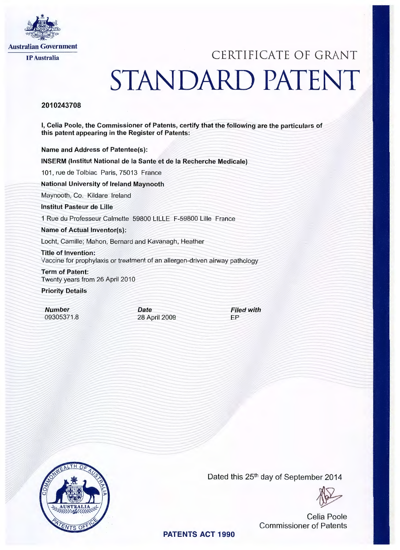

## IP Australia CERTIFICATE OF GRANT STANDARD PATENT

## 2010243708

I, Celia Poole, the Commissioner of Patents, certify that the following are the particulars of this patent appearing in the Register of Patents:

Name and Address of Patentee(s):

INSERM (lnstitut National de Ia Sante et de Ia Recherche Medicale)

101, rue de Tolbiac Paris, 75013 France

National University of Ireland Maynooth

Maynooth, Co. Kildare Ireland

lnstitut Pasteur de Lille

1 Rue du Professeur Calmette 59800 LILLE F-59800 Lille France

Name of Actual Inventor(s):

Locht, Camille; Mahon, Bernard and Kavanagh, Heather

Title of Invention: Vaccine for prophylaxis or treatment of an allergen-driven airway pathology

Term of Patent: Twenty years from 26 April 2010

Priority Details

Number 09305371 .8 Date 28 April 2009 Filed with EP



Dated this 25<sup>th</sup> day of September 2014

Celia Poole Commissioner of Patents

PATENTS ACT 1990